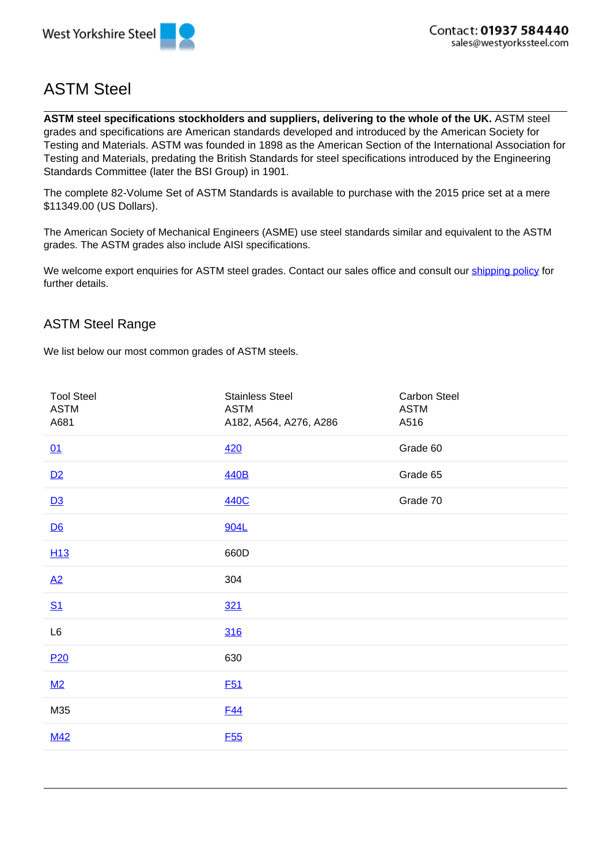

## ASTM Steel

**ASTM steel specifications stockholders and suppliers, delivering to the whole of the UK.** ASTM steel grades and specifications are American standards developed and introduced by the American Society for Testing and Materials. ASTM was founded in 1898 as the American Section of the International Association for Testing and Materials, predating the British Standards for steel specifications introduced by the Engineering Standards Committee (later the BSI Group) in 1901.

The complete 82-Volume Set of ASTM Standards is available to purchase with the 2015 price set at a mere \$11349.00 (US Dollars).

The American Society of Mechanical Engineers (ASME) use steel standards similar and equivalent to the ASTM grades. The ASTM grades also include AISI specifications.

We welcome export enquiries for ASTM steel grades. Contact our sales office and consult our shipping policy for further details.

## ASTM Steel Range

We list below our most common grades of ASTM steels.

| <b>Tool Steel</b><br><b>ASTM</b><br>A681 | <b>Stainless Steel</b><br><b>ASTM</b><br>A182, A564, A276, A286 | Carbon Steel<br><b>ASTM</b><br>A516 |
|------------------------------------------|-----------------------------------------------------------------|-------------------------------------|
| 01                                       | 420                                                             | Grade 60                            |
| D2                                       | <b>440B</b>                                                     | Grade 65                            |
| D3                                       | 440C                                                            | Grade 70                            |
| D6                                       | 904L                                                            |                                     |
| H <sub>13</sub>                          | 660D                                                            |                                     |
| A2                                       | 304                                                             |                                     |
| <u>S1</u>                                | 321                                                             |                                     |
| L6                                       | 316                                                             |                                     |
| P <sub>20</sub>                          | 630                                                             |                                     |
| M2                                       | <b>F51</b>                                                      |                                     |
| M35                                      | <b>F44</b>                                                      |                                     |
| <b>M42</b>                               | <b>F55</b>                                                      |                                     |